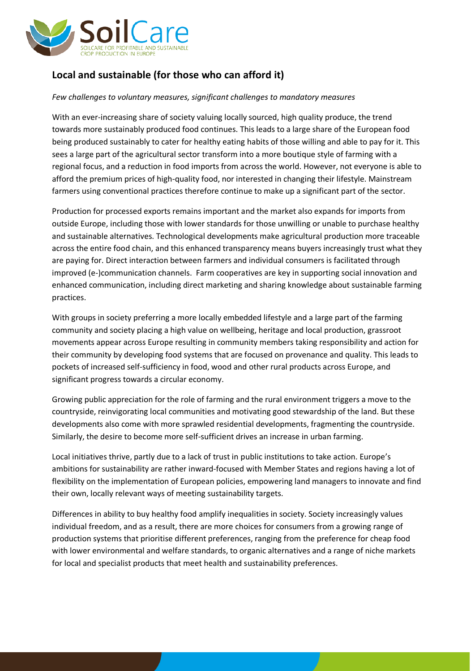

## **Local and sustainable (for those who can afford it)**

## *Few challenges to voluntary measures, significant challenges to mandatory measures*

With an ever-increasing share of society valuing locally sourced, high quality produce, the trend towards more sustainably produced food continues. This leads to a large share of the European food being produced sustainably to cater for healthy eating habits of those willing and able to pay for it. This sees a large part of the agricultural sector transform into a more boutique style of farming with a regional focus, and a reduction in food imports from across the world. However, not everyone is able to afford the premium prices of high-quality food, nor interested in changing their lifestyle. Mainstream farmers using conventional practices therefore continue to make up a significant part of the sector.

Production for processed exports remains important and the market also expands for imports from outside Europe, including those with lower standards for those unwilling or unable to purchase healthy and sustainable alternatives. Technological developments make agricultural production more traceable across the entire food chain, and this enhanced transparency means buyers increasingly trust what they are paying for. Direct interaction between farmers and individual consumers is facilitated through improved (e-)communication channels. Farm cooperatives are key in supporting social innovation and enhanced communication, including direct marketing and sharing knowledge about sustainable farming practices.

With groups in society preferring a more locally embedded lifestyle and a large part of the farming community and society placing a high value on wellbeing, heritage and local production, grassroot movements appear across Europe resulting in community members taking responsibility and action for their community by developing food systems that are focused on provenance and quality. This leads to pockets of increased self-sufficiency in food, wood and other rural products across Europe, and significant progress towards a circular economy.

Growing public appreciation for the role of farming and the rural environment triggers a move to the countryside, reinvigorating local communities and motivating good stewardship of the land. But these developments also come with more sprawled residential developments, fragmenting the countryside. Similarly, the desire to become more self-sufficient drives an increase in urban farming.

Local initiatives thrive, partly due to a lack of trust in public institutions to take action. Europe's ambitions for sustainability are rather inward-focused with Member States and regions having a lot of flexibility on the implementation of European policies, empowering land managers to innovate and find their own, locally relevant ways of meeting sustainability targets.

Differences in ability to buy healthy food amplify inequalities in society. Society increasingly values individual freedom, and as a result, there are more choices for consumers from a growing range of production systems that prioritise different preferences, ranging from the preference for cheap food with lower environmental and welfare standards, to organic alternatives and a range of niche markets for local and specialist products that meet health and sustainability preferences.